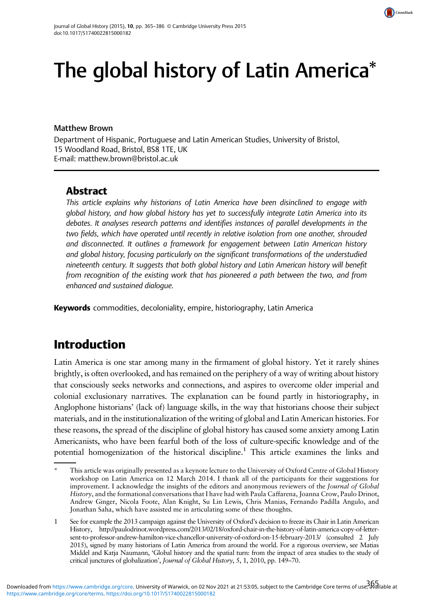

# The global history of Latin America\*

#### **Matthew Brown**

Department of Hispanic, Portuguese and Latin American Studies, University of Bristol, 15 Woodland Road, Bristol, BS8 1TE, UK E-mail: matthew.brown@bristol.ac.uk

#### Abstract

This article explains why historians of Latin America have been disinclined to engage with global history, and how global history has yet to successfully integrate Latin America into its debates. It analyses research patterns and identifies instances of parallel developments in the two fields, which have operated until recently in relative isolation from one another, shrouded and disconnected. It outlines a framework for engagement between Latin American history and global history, focusing particularly on the significant transformations of the understudied nineteenth century. It suggests that both global history and Latin American history will benefit from recognition of the existing work that has pioneered a path between the two, and from enhanced and sustained dialogue.

Keywords commodities, decoloniality, empire, historiography, Latin America

# Introduction

Latin America is one star among many in the firmament of global history. Yet it rarely shines brightly, is often overlooked, and has remained on the periphery of a way of writing about history that consciously seeks networks and connections, and aspires to overcome older imperial and colonial exclusionary narratives. The explanation can be found partly in historiography, in Anglophone historians' (lack of) language skills, in the way that historians choose their subject materials, and in the institutionalization of the writing of global and Latin American histories. For these reasons, the spread of the discipline of global history has caused some anxiety among Latin Americanists, who have been fearful both of the loss of culture-specific knowledge and of the potential homogenization of the historical discipline.<sup>1</sup> This article examines the links and

This article was originally presented as a keynote lecture to the University of Oxford Centre of Global History workshop on Latin America on 12 March 2014. I thank all of the participants for their suggestions for improvement. I acknowledge the insights of the editors and anonymous reviewers of the Journal of Global History, and the formational conversations that I have had with Paula Caffarena, Joanna Crow, Paulo Drinot, Andrew Ginger, Nicola Foote, Alan Knight, Su Lin Lewis, Chris Manias, Fernando Padilla Angulo, and Jonathan Saha, which have assisted me in articulating some of these thoughts.

<sup>1</sup> See for example the 2013 campaign against the University of Oxford's decision to freeze its Chair in Latin American History, [http://paulodrinot.wordpress.com/2013/02/18/oxford-chair-in-the-history-of-latin-america-copy-of-letter](http://paulodrinot.wordpress.com/2013�/�02/18/oxford-chair-in-the-history-of-latin-america-copy-of-letter-sent-to-professor-andrew-hamilton-vice-chancellor-university-of-oxford-on-15-february-2013/)[sent-to-professor-andrew-hamilton-vice-chancellor-university-of-oxford-on-15-february-2013/](http://paulodrinot.wordpress.com/2013�/�02/18/oxford-chair-in-the-history-of-latin-america-copy-of-letter-sent-to-professor-andrew-hamilton-vice-chancellor-university-of-oxford-on-15-february-2013/) (consulted 2 July 2015), signed by many historians of Latin America from around the world. For a rigorous overview, see Matias Middel and Katja Naumann, 'Global history and the spatial turn: from the impact of area studies to the study of critical junctures of globalization', Journal of Global History, 5, 1, 2010, pp. 149–70.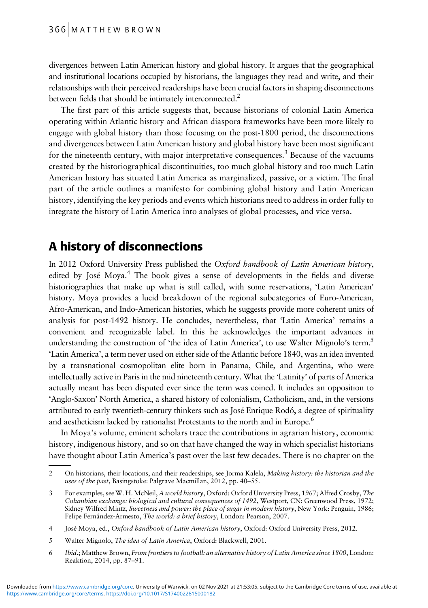divergences between Latin American history and global history. It argues that the geographical and institutional locations occupied by historians, the languages they read and write, and their relationships with their perceived readerships have been crucial factors in shaping disconnections between fields that should be intimately interconnected.<sup>2</sup>

The first part of this article suggests that, because historians of colonial Latin America operating within Atlantic history and African diaspora frameworks have been more likely to engage with global history than those focusing on the post-1800 period, the disconnections and divergences between Latin American history and global history have been most significant for the nineteenth century, with major interpretative consequences.<sup>3</sup> Because of the vacuums created by the historiographical discontinuities, too much global history and too much Latin American history has situated Latin America as marginalized, passive, or a victim. The final part of the article outlines a manifesto for combining global history and Latin American history, identifying the key periods and events which historians need to address in order fully to integrate the history of Latin America into analyses of global processes, and vice versa.

### A history of disconnections

In 2012 Oxford University Press published the Oxford handbook of Latin American history, edited by José Moya.<sup>4</sup> The book gives a sense of developments in the fields and diverse historiographies that make up what is still called, with some reservations, 'Latin American' history. Moya provides a lucid breakdown of the regional subcategories of Euro-American, Afro-American, and Indo-American histories, which he suggests provide more coherent units of analysis for post-1492 history. He concludes, nevertheless, that 'Latin America' remains a convenient and recognizable label. In this he acknowledges the important advances in understanding the construction of 'the idea of Latin America', to use Walter Mignolo's term.<sup>5</sup> 'Latin America', a term never used on either side of the Atlantic before 1840, was an idea invented by a transnational cosmopolitan elite born in Panama, Chile, and Argentina, who were intellectually active in Paris in the mid nineteenth century. What the 'Latinity' of parts of America actually meant has been disputed ever since the term was coined. It includes an opposition to 'Anglo-Saxon' North America, a shared history of colonialism, Catholicism, and, in the versions attributed to early twentieth-century thinkers such as José Enrique Rodó, a degree of spirituality and aestheticism lacked by rationalist Protestants to the north and in Europe.<sup>6</sup>

In Moya's volume, eminent scholars trace the contributions in agrarian history, economic history, indigenous history, and so on that have changed the way in which specialist historians have thought about Latin America's past over the last few decades. There is no chapter on the

- 4 José Moya, ed., Oxford handbook of Latin American history, Oxford: Oxford University Press, 2012.
- 5 Walter Mignolo, The idea of Latin America, Oxford: Blackwell, 2001.
- 6 Ibid.; Matthew Brown, From frontiers to football: an alternative history of Latin America since 1800, London: Reaktion, 2014, pp. 87–91.

<sup>2</sup> On historians, their locations, and their readerships, see Jorma Kalela, Making history: the historian and the uses of the past, Basingstoke: Palgrave Macmillan, 2012, pp. 40–55.

<sup>3</sup> For examples, see W. H. McNeil, A world history, Oxford: Oxford University Press, 1967; Alfred Crosby, The Columbian exchange: biological and cultural consequences of 1492, Westport, CN: Greenwood Press, 1972; Sidney Wilfred Mintz, Sweetness and power: the place of sugar in modern history, New York: Penguin, 1986; Felipe Fernández-Armesto, The world: a brief history, London: Pearson, 2007.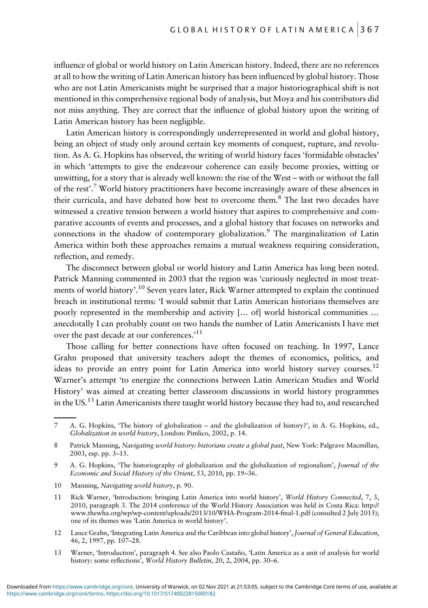influence of global or world history on Latin American history. Indeed, there are no references at all to how the writing of Latin American history has been influenced by global history. Those who are not Latin Americanists might be surprised that a major historiographical shift is not mentioned in this comprehensive regional body of analysis, but Moya and his contributors did not miss anything. They are correct that the influence of global history upon the writing of Latin American history has been negligible.

Latin American history is correspondingly underrepresented in world and global history, being an object of study only around certain key moments of conquest, rupture, and revolution. As A. G. Hopkins has observed, the writing of world history faces 'formidable obstacles' in which 'attempts to give the endeavour coherence can easily become proxies, witting or unwitting, for a story that is already well known: the rise of the West – with or without the fall of the rest'.<sup>7</sup> World history practitioners have become increasingly aware of these absences in their curricula, and have debated how best to overcome them.<sup>8</sup> The last two decades have witnessed a creative tension between a world history that aspires to comprehensive and comparative accounts of events and processes, and a global history that focuses on networks and connections in the shadow of contemporary globalization.<sup>9</sup> The marginalization of Latin America within both these approaches remains a mutual weakness requiring consideration, reflection, and remedy.

The disconnect between global or world history and Latin America has long been noted. Patrick Manning commented in 2003 that the region was 'curiously neglected in most treatments of world history'.<sup>10</sup> Seven years later, Rick Warner attempted to explain the continued breach in institutional terms: 'I would submit that Latin American historians themselves are poorly represented in the membership and activity [… of] world historical communities … anecdotally I can probably count on two hands the number of Latin Americanists I have met over the past decade at our conferences.'<sup>11</sup>

Those calling for better connections have often focused on teaching. In 1997, Lance Grahn proposed that university teachers adopt the themes of economics, politics, and ideas to provide an entry point for Latin America into world history survey courses.<sup>12</sup> Warner's attempt 'to energize the connections between Latin American Studies and World History' was aimed at creating better classroom discussions in world history programmes in the US.<sup>13</sup> Latin Americanists there taught world history because they had to, and researched

- 12 Lance Grahn, 'Integrating Latin America and the Caribbean into global history', Journal of General Education, 46, 2, 1997, pp. 107–28.
- 13 Warner, 'Introduction', paragraph 4. See also Paolo Castaño, 'Latin America as a unit of analysis for world history: some reflections', World History Bulletin, 20, 2, 2004, pp. 30-6.

<sup>7</sup> A. G. Hopkins, 'The history of globalization – and the globalization of history?', in A. G. Hopkins, ed., Globalization in world history, London: Pimlico, 2002, p. 14.

<sup>8</sup> Patrick Manning, Navigating world history: historians create a global past, New York: Palgrave Macmillan, 2003, esp. pp. 3–15.

<sup>9</sup> A. G. Hopkins, 'The historiography of globalization and the globalization of regionalism', Journal of the Economic and Social History of the Orient, 53, 2010, pp. 19–36.

<sup>10</sup> Manning, Navigating world history, p. 90.

<sup>11</sup> Rick Warner, 'Introduction: bringing Latin America into world history', World History Connected, 7, 3, 2010, paragraph 3. The 2014 conference of the World History Association was held in Costa Rica: [http://](http://www.thewha.org/wp/wp-content/uploads/2013�/�10/WHA-Program-2014-final-1.pdf) [www.thewha.org/wp/wp-content/uploads/2013/10/WHA-Program-2014-](http://www.thewha.org/wp/wp-content/uploads/2013�/�10/WHA-Program-2014-final-1.pdf)final-1.pdf (consulted 2 July 2015); one of its themes was 'Latin America in world history'.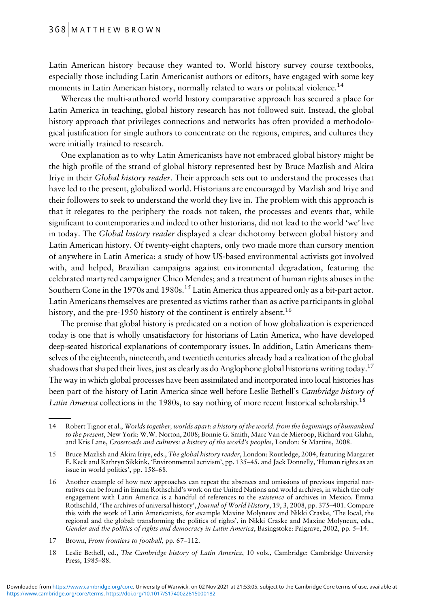Latin American history because they wanted to. World history survey course textbooks, especially those including Latin Americanist authors or editors, have engaged with some key moments in Latin American history, normally related to wars or political violence.<sup>14</sup>

Whereas the multi-authored world history comparative approach has secured a place for Latin America in teaching, global history research has not followed suit. Instead, the global history approach that privileges connections and networks has often provided a methodological justification for single authors to concentrate on the regions, empires, and cultures they were initially trained to research.

One explanation as to why Latin Americanists have not embraced global history might be the high profile of the strand of global history represented best by Bruce Mazlish and Akira Iriye in their Global history reader. Their approach sets out to understand the processes that have led to the present, globalized world. Historians are encouraged by Mazlish and Iriye and their followers to seek to understand the world they live in. The problem with this approach is that it relegates to the periphery the roads not taken, the processes and events that, while significant to contemporaries and indeed to other historians, did not lead to the world 'we' live in today. The *Global history reader* displayed a clear dichotomy between global history and Latin American history. Of twenty-eight chapters, only two made more than cursory mention of anywhere in Latin America: a study of how US-based environmental activists got involved with, and helped, Brazilian campaigns against environmental degradation, featuring the celebrated martyred campaigner Chico Mendes; and a treatment of human rights abuses in the Southern Cone in the 1970s and 1980s.<sup>15</sup> Latin America thus appeared only as a bit-part actor. Latin Americans themselves are presented as victims rather than as active participants in global history, and the pre-1950 history of the continent is entirely absent.<sup>16</sup>

The premise that global history is predicated on a notion of how globalization is experienced today is one that is wholly unsatisfactory for historians of Latin America, who have developed deep-seated historical explanations of contemporary issues. In addition, Latin Americans themselves of the eighteenth, nineteenth, and twentieth centuries already had a realization of the global shadows that shaped their lives, just as clearly as do Anglophone global historians writing today.<sup>17</sup> The way in which global processes have been assimilated and incorporated into local histories has been part of the history of Latin America since well before Leslie Bethell's Cambridge history of Latin America collections in the 1980s, to say nothing of more recent historical scholarship.<sup>18</sup>

- 17 Brown, From frontiers to football, pp. 67-112.
- 18 Leslie Bethell, ed., The Cambridge history of Latin America, 10 vols., Cambridge: Cambridge University Press, 1985–88.

<sup>14</sup> Robert Tignor et al., Worlds together, worlds apart: a history of the world, from the beginnings of humankind to the present, New York: W.W. Norton, 2008; Bonnie G. Smith, Marc Van de Mieroop, Richard von Glahn, and Kris Lane, Crossroads and cultures: a history of the world's peoples, London: St Martins, 2008.

<sup>15</sup> Bruce Mazlish and Akira Iriye, eds., The global history reader, London: Routledge, 2004, featuring Margaret E. Keck and Kathryn Sikkink, 'Environmental activism', pp. 135–45, and Jack Donnelly, 'Human rights as an issue in world politics', pp. 158–68.

<sup>16</sup> Another example of how new approaches can repeat the absences and omissions of previous imperial narratives can be found in Emma Rothschild's work on the United Nations and world archives, in which the only engagement with Latin America is a handful of references to the existence of archives in Mexico. Emma Rothschild, 'The archives of universal history', Journal of World History, 19, 3, 2008, pp. 375–401. Compare this with the work of Latin Americanists, for example Maxine Molyneux and Nikki Craske, 'The local, the regional and the global: transforming the politics of rights', in Nikki Craske and Maxine Molyneux, eds., Gender and the politics of rights and democracy in Latin America, Basingstoke: Palgrave, 2002, pp. 5–14.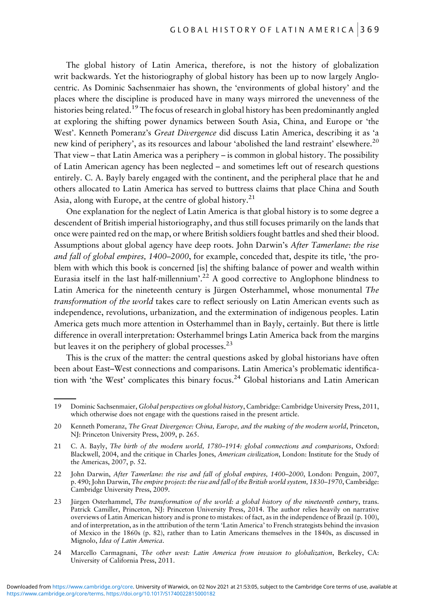The global history of Latin America, therefore, is not the history of globalization writ backwards. Yet the historiography of global history has been up to now largely Anglocentric. As Dominic Sachsenmaier has shown, the 'environments of global history' and the places where the discipline is produced have in many ways mirrored the unevenness of the histories being related.<sup>19</sup> The focus of research in global history has been predominantly angled at exploring the shifting power dynamics between South Asia, China, and Europe or 'the West'. Kenneth Pomeranz's Great Divergence did discuss Latin America, describing it as 'a new kind of periphery', as its resources and labour 'abolished the land restraint' elsewhere.<sup>20</sup> That view – that Latin America was a periphery – is common in global history. The possibility of Latin American agency has been neglected – and sometimes left out of research questions entirely. C. A. Bayly barely engaged with the continent, and the peripheral place that he and others allocated to Latin America has served to buttress claims that place China and South Asia, along with Europe, at the centre of global history.<sup>21</sup>

One explanation for the neglect of Latin America is that global history is to some degree a descendent of British imperial historiography, and thus still focuses primarily on the lands that once were painted red on the map, or where British soldiers fought battles and shed their blood. Assumptions about global agency have deep roots. John Darwin's After Tamerlane: the rise and fall of global empires, 1400–2000, for example, conceded that, despite its title, 'the problem with which this book is concerned [is] the shifting balance of power and wealth within Eurasia itself in the last half-millennium'.<sup>22</sup> A good corrective to Anglophone blindness to Latin America for the nineteenth century is Jürgen Osterhammel, whose monumental The transformation of the world takes care to reflect seriously on Latin American events such as independence, revolutions, urbanization, and the extermination of indigenous peoples. Latin America gets much more attention in Osterhammel than in Bayly, certainly. But there is little difference in overall interpretation: Osterhammel brings Latin America back from the margins but leaves it on the periphery of global processes. $^{23}$ 

This is the crux of the matter: the central questions asked by global historians have often been about East–West connections and comparisons. Latin America's problematic identification with 'the West' complicates this binary focus.<sup>24</sup> Global historians and Latin American

24 Marcello Carmagnani, The other west: Latin America from invasion to globalization, Berkeley, CA: University of California Press, 2011.

<sup>19</sup> Dominic Sachsenmaier, Global perspectives on global history, Cambridge: Cambridge University Press, 2011, which otherwise does not engage with the questions raised in the present article.

<sup>20</sup> Kenneth Pomeranz, The Great Divergence: China, Europe, and the making of the modern world, Princeton, NJ: Princeton University Press, 2009, p. 265.

<sup>21</sup> C. A. Bayly, The birth of the modern world, 1780–1914: global connections and comparisons, Oxford: Blackwell, 2004, and the critique in Charles Jones, *American civilization*, London: Institute for the Study of the Americas, 2007, p. 52.

<sup>22</sup> John Darwin, After Tamerlane: the rise and fall of global empires, 1400–2000, London: Penguin, 2007, p. 490; John Darwin, The empire project: the rise and fall of the British world system, 1830–1970, Cambridge: Cambridge University Press, 2009.

<sup>23</sup> Jürgen Osterhammel, The transformation of the world: a global history of the nineteenth century, trans. Patrick Camiller, Princeton, NJ: Princeton University Press, 2014. The author relies heavily on narrative overviews of Latin American history and is prone to mistakes: of fact, as in the independence of Brazil (p. 100), and of interpretation, as in the attribution of the term 'Latin America' to French strategists behind the invasion of Mexico in the 1860s (p. 82), rather than to Latin Americans themselves in the 1840s, as discussed in Mignolo, Idea of Latin America.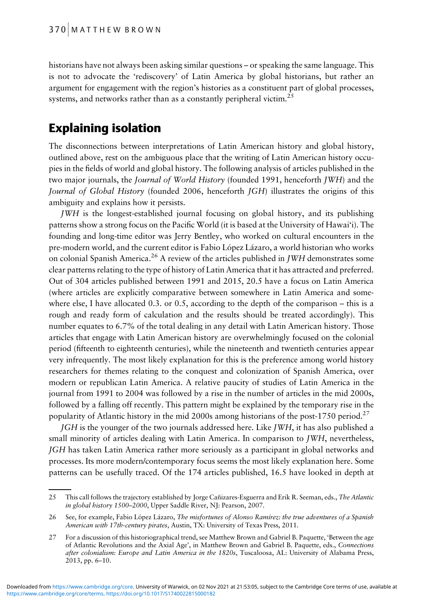historians have not always been asking similar questions – or speaking the same language. This is not to advocate the 'rediscovery' of Latin America by global historians, but rather an argument for engagement with the region's histories as a constituent part of global processes, systems, and networks rather than as a constantly peripheral victim.<sup>25</sup>

## Explaining isolation

The disconnections between interpretations of Latin American history and global history, outlined above, rest on the ambiguous place that the writing of Latin American history occupies in the fields of world and global history. The following analysis of articles published in the two major journals, the *Journal of World History* (founded 1991, henceforth *JWH*) and the Journal of Global History (founded 2006, henceforth JGH) illustrates the origins of this ambiguity and explains how it persists.

JWH is the longest-established journal focusing on global history, and its publishing patterns show a strong focus on the Pacific World (it is based at the University of Hawai'i). The founding and long-time editor was Jerry Bentley, who worked on cultural encounters in the pre-modern world, and the current editor is Fabio López Lázaro, a world historian who works on colonial Spanish America.<sup>26</sup> A review of the articles published in *JWH* demonstrates some clear patterns relating to the type of history of Latin America that it has attracted and preferred. Out of 304 articles published between 1991 and 2015, 20.5 have a focus on Latin America (where articles are explicitly comparative between somewhere in Latin America and somewhere else, I have allocated 0.3. or 0.5, according to the depth of the comparison – this is a rough and ready form of calculation and the results should be treated accordingly). This number equates to 6.7% of the total dealing in any detail with Latin American history. Those articles that engage with Latin American history are overwhelmingly focused on the colonial period (fifteenth to eighteenth centuries), while the nineteenth and twentieth centuries appear very infrequently. The most likely explanation for this is the preference among world history researchers for themes relating to the conquest and colonization of Spanish America, over modern or republican Latin America. A relative paucity of studies of Latin America in the journal from 1991 to 2004 was followed by a rise in the number of articles in the mid 2000s, followed by a falling off recently. This pattern might be explained by the temporary rise in the popularity of Atlantic history in the mid 2000s among historians of the post-1750 period.<sup>27</sup>

 $JGH$  is the younger of the two journals addressed here. Like  $JWH$ , it has also published a small minority of articles dealing with Latin America. In comparison to  $JWH$ , nevertheless, JGH has taken Latin America rather more seriously as a participant in global networks and processes. Its more modern/contemporary focus seems the most likely explanation here. Some patterns can be usefully traced. Of the 174 articles published, 16.5 have looked in depth at

<sup>25</sup> This call follows the trajectory established by Jorge Cañizares-Esguerra and Erik R. Seeman, eds., The Atlantic in global history 1500–2000, Upper Saddle River, NJ: Pearson, 2007.

<sup>26</sup> See, for example, Fabio López Lázaro, The misfortunes of Alonso Ramírez: the true adventures of a Spanish American with 17th-century pirates, Austin, TX: University of Texas Press, 2011.

<sup>27</sup> For a discussion of this historiographical trend, see Matthew Brown and Gabriel B. Paquette, 'Between the age of Atlantic Revolutions and the Axial Age', in Matthew Brown and Gabriel B. Paquette, eds., Connections after colonialism: Europe and Latin America in the 1820s, Tuscaloosa, AL: University of Alabama Press, 2013, pp. 6–10.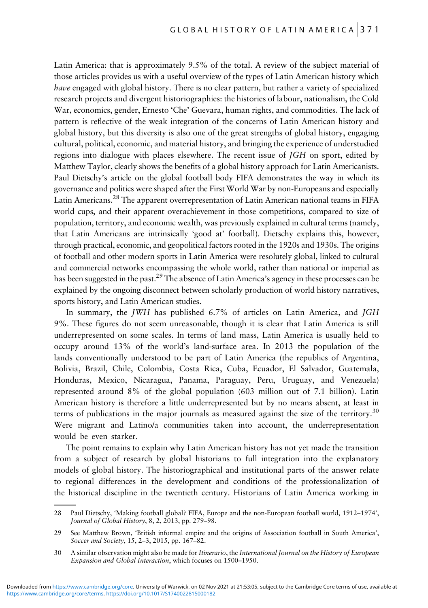Latin America: that is approximately 9.5% of the total. A review of the subject material of those articles provides us with a useful overview of the types of Latin American history which have engaged with global history. There is no clear pattern, but rather a variety of specialized research projects and divergent historiographies: the histories of labour, nationalism, the Cold War, economics, gender, Ernesto 'Che' Guevara, human rights, and commodities. The lack of pattern is reflective of the weak integration of the concerns of Latin American history and global history, but this diversity is also one of the great strengths of global history, engaging cultural, political, economic, and material history, and bringing the experience of understudied regions into dialogue with places elsewhere. The recent issue of JGH on sport, edited by Matthew Taylor, clearly shows the benefits of a global history approach for Latin Americanists. Paul Dietschy's article on the global football body FIFA demonstrates the way in which its governance and politics were shaped after the First World War by non-Europeans and especially Latin Americans.<sup>28</sup> The apparent overrepresentation of Latin American national teams in FIFA world cups, and their apparent overachievement in those competitions, compared to size of population, territory, and economic wealth, was previously explained in cultural terms (namely, that Latin Americans are intrinsically 'good at' football). Dietschy explains this, however, through practical, economic, and geopolitical factors rooted in the 1920s and 1930s. The origins of football and other modern sports in Latin America were resolutely global, linked to cultural and commercial networks encompassing the whole world, rather than national or imperial as has been suggested in the past.<sup>29</sup> The absence of Latin America's agency in these processes can be explained by the ongoing disconnect between scholarly production of world history narratives, sports history, and Latin American studies.

In summary, the JWH has published 6.7% of articles on Latin America, and JGH 9%. These figures do not seem unreasonable, though it is clear that Latin America is still underrepresented on some scales. In terms of land mass, Latin America is usually held to occupy around 13% of the world's land-surface area. In 2013 the population of the lands conventionally understood to be part of Latin America (the republics of Argentina, Bolivia, Brazil, Chile, Colombia, Costa Rica, Cuba, Ecuador, El Salvador, Guatemala, Honduras, Mexico, Nicaragua, Panama, Paraguay, Peru, Uruguay, and Venezuela) represented around 8% of the global population (603 million out of 7.1 billion). Latin American history is therefore a little underrepresented but by no means absent, at least in terms of publications in the major journals as measured against the size of the territory.<sup>30</sup> Were migrant and Latino/a communities taken into account, the underrepresentation would be even starker.

The point remains to explain why Latin American history has not yet made the transition from a subject of research by global historians to full integration into the explanatory models of global history. The historiographical and institutional parts of the answer relate to regional differences in the development and conditions of the professionalization of the historical discipline in the twentieth century. Historians of Latin America working in

<sup>28</sup> Paul Dietschy, 'Making football global? FIFA, Europe and the non-European football world, 1912–1974', Journal of Global History, 8, 2, 2013, pp. 279–98.

<sup>29</sup> See Matthew Brown, 'British informal empire and the origins of Association football in South America', Soccer and Society, 15, 2–3, 2015, pp. 167–82.

<sup>30</sup> A similar observation might also be made for Itinerario, the International Journal on the History of European Expansion and Global Interaction, which focuses on 1500–1950.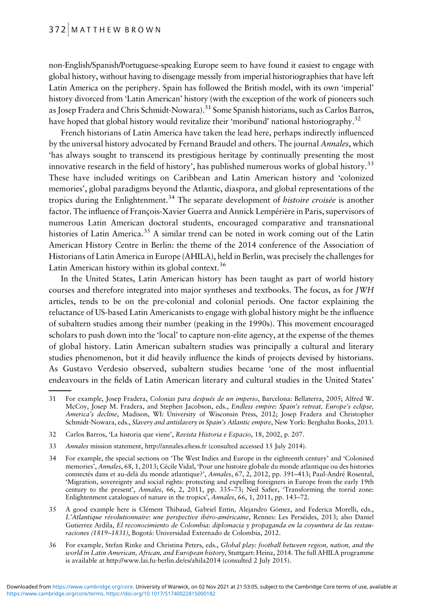non-English/Spanish/Portuguese-speaking Europe seem to have found it easiest to engage with global history, without having to disengage messily from imperial historiographies that have left Latin America on the periphery. Spain has followed the British model, with its own 'imperial' history divorced from 'Latin American' history (with the exception of the work of pioneers such as Josep Fradera and Chris Schmidt-Nowara).<sup>31</sup> Some Spanish historians, such as Carlos Barros, have hoped that global history would revitalize their 'moribund' national historiography.<sup>32</sup>

French historians of Latin America have taken the lead here, perhaps indirectly influenced by the universal history advocated by Fernand Braudel and others. The journal Annales, which 'has always sought to transcend its prestigious heritage by continually presenting the most innovative research in the field of history', has published numerous works of global history.<sup>33</sup> These have included writings on Caribbean and Latin American history and 'colonized memories', global paradigms beyond the Atlantic, diaspora, and global representations of the tropics during the Enlightenment.<sup>34</sup> The separate development of *histoire croisée* is another factor. The influence of François-Xavier Guerra and Annick Lempérière in Paris, supervisors of numerous Latin American doctoral students, encouraged comparative and transnational histories of Latin America.<sup>35</sup> A similar trend can be noted in work coming out of the Latin American History Centre in Berlin: the theme of the 2014 conference of the Association of Historians of Latin America in Europe (AHILA), held in Berlin, was precisely the challenges for Latin American history within its global context.<sup>36</sup>

In the United States, Latin American history has been taught as part of world history courses and therefore integrated into major syntheses and textbooks. The focus, as for JWH articles, tends to be on the pre-colonial and colonial periods. One factor explaining the reluctance of US-based Latin Americanists to engage with global history might be the influence of subaltern studies among their number (peaking in the 1990s). This movement encouraged scholars to push down into the 'local' to capture non-elite agency, at the expense of the themes of global history. Latin American subaltern studies was principally a cultural and literary studies phenomenon, but it did heavily influence the kinds of projects devised by historians. As Gustavo Verdesio observed, subaltern studies became 'one of the most influential endeavours in the fields of Latin American literary and cultural studies in the United States'

- 32 Carlos Barros, 'La historia que viene', Revista Historia e Espacio, 18, 2002, p. 207.
- 33 Annales mission statement,<http://annales.ehess.fr> (consulted accessed 15 July 2014).
- 34 For example, the special sections on 'The West Indies and Europe in the eighteenth century' and 'Colonised memories', Annales, 68, 1, 2013; Cécile Vidal, 'Pour une histoire globale du monde atlantique ou des histories connectés dans et au-delà du monde atlantique?', Annales, 67, 2, 2012, pp. 391–413; Paul-André Rosental, 'Migration, sovereignty and social rights: protecting and expelling foreigners in Europe from the early 19th century to the present', Annales, 66, 2, 2011, pp. 335-73; Neil Safier, 'Transforming the torrid zone: Enlightenment catalogues of nature in the tropics', Annales, 66, 1, 2011, pp. 143–72.
- 35 A good example here is Clément Thibaud, Gabriel Entin, Alejandro Gómez, and Federica Morelli, eds., L'Atlantique révolutionnaire: une perspective ibéro-américaine, Rennes: Les Perséides, 2013; also Daniel Gutierrez Ardila, El reconocimiento de Colombia: diplomacia y propaganda en la coyuntura de las restauraciones (1819–1831), Bogotá: Universidad Externado de Colombia, 2012.
- 36 For example, Stefan Rinke and Christina Peters, eds., Global play: football between region, nation, and the world in Latin American, African, and European history, Stuttgart: Heinz, 2014. The full AHILA programme is available at<http://www.lai.fu-berlin.de/es/ahila2014> (consulted 2 July 2015).

<sup>31</sup> For example, Josep Fradera, Colonias para después de un imperio, Barcelona: Bellaterra, 2005; Alfred W. McCoy, Josep M. Fradera, and Stephen Jacobson, eds., Endless empire: Spain's retreat, Europe's eclipse, America's decline, Madison, WI: University of Wisconsin Press, 2012; Josep Fradera and Christopher Schmidt-Nowara, eds., Slavery and antislavery in Spain's Atlantic empire, New York: Berghahn Books, 2013.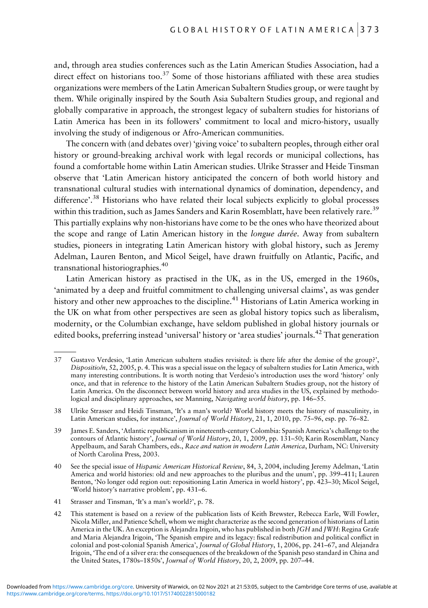and, through area studies conferences such as the Latin American Studies Association, had a direct effect on historians too.<sup>37</sup> Some of those historians affiliated with these area studies organizations were members of the Latin American Subaltern Studies group, or were taught by them. While originally inspired by the South Asia Subaltern Studies group, and regional and globally comparative in approach, the strongest legacy of subaltern studies for historians of Latin America has been in its followers' commitment to local and micro-history, usually involving the study of indigenous or Afro-American communities.

The concern with (and debates over) 'giving voice' to subaltern peoples, through either oral history or ground-breaking archival work with legal records or municipal collections, has found a comfortable home within Latin American studies. Ulrike Strasser and Heide Tinsman observe that 'Latin American history anticipated the concern of both world history and transnational cultural studies with international dynamics of domination, dependency, and difference'.<sup>38</sup> Historians who have related their local subjects explicitly to global processes within this tradition, such as James Sanders and Karin Rosemblatt, have been relatively rare.<sup>39</sup> This partially explains why non-historians have come to be the ones who have theorized about the scope and range of Latin American history in the *longue durée*. Away from subaltern studies, pioneers in integrating Latin American history with global history, such as Jeremy Adelman, Lauren Benton, and Micol Seigel, have drawn fruitfully on Atlantic, Pacific, and transnational historiographies.<sup>40</sup>

Latin American history as practised in the UK, as in the US, emerged in the 1960s, 'animated by a deep and fruitful commitment to challenging universal claims', as was gender history and other new approaches to the discipline.<sup>41</sup> Historians of Latin America working in the UK on what from other perspectives are seen as global history topics such as liberalism, modernity, or the Columbian exchange, have seldom published in global history journals or edited books, preferring instead 'universal' history or 'area studies' journals.<sup>42</sup> That generation

<sup>37</sup> Gustavo Verdesio, 'Latin American subaltern studies revisited: is there life after the demise of the group?', Dispositio/n, 52, 2005, p. 4. This was a special issue on the legacy of subaltern studies for Latin America, with many interesting contributions. It is worth noting that Verdesio's introduction uses the word 'history' only once, and that in reference to the history of the Latin American Subaltern Studies group, not the history of Latin America. On the disconnect between world history and area studies in the US, explained by methodological and disciplinary approaches, see Manning, Navigating world history, pp. 146–55.

<sup>38</sup> Ulrike Strasser and Heidi Tinsman, 'It's a man's world? World history meets the history of masculinity, in Latin American studies, for instance', Journal of World History, 21, 1, 2010, pp. 75–96, esp. pp. 76–82.

<sup>39</sup> James E. Sanders, 'Atlantic republicanism in nineteenth-century Colombia: Spanish America's challenge to the contours of Atlantic history', Journal of World History, 20, 1, 2009, pp. 131–50; Karin Rosemblatt, Nancy Appelbaum, and Sarah Chambers, eds., Race and nation in modern Latin America, Durham, NC: University of North Carolina Press, 2003.

<sup>40</sup> See the special issue of Hispanic American Historical Review, 84, 3, 2004, including Jeremy Adelman, 'Latin America and world histories: old and new approaches to the pluribus and the unum', pp. 399–411; Lauren Benton, 'No longer odd region out: repositioning Latin America in world history', pp. 423–30; Micol Seigel, 'World history's narrative problem', pp. 431–6.

<sup>41</sup> Strasser and Tinsman, 'It's a man's world?', p. 78.

<sup>42</sup> This statement is based on a review of the publication lists of Keith Brewster, Rebecca Earle, Will Fowler, Nicola Miller, and Patience Schell, whom we might characterize as the second generation of historians of Latin America in the UK. An exception is Alejandra Irigoin, who has published in both JGH and JWH: Regina Grafe and Maria Alejandra Irigoin, 'The Spanish empire and its legacy: fiscal redistribution and political conflict in colonial and post-colonial Spanish America', Journal of Global History, 1, 2006, pp. 241–67, and Alejandra Irigoin, 'The end of a silver era: the consequences of the breakdown of the Spanish peso standard in China and the United States, 1780s–1850s', Journal of World History, 20, 2, 2009, pp. 207–44.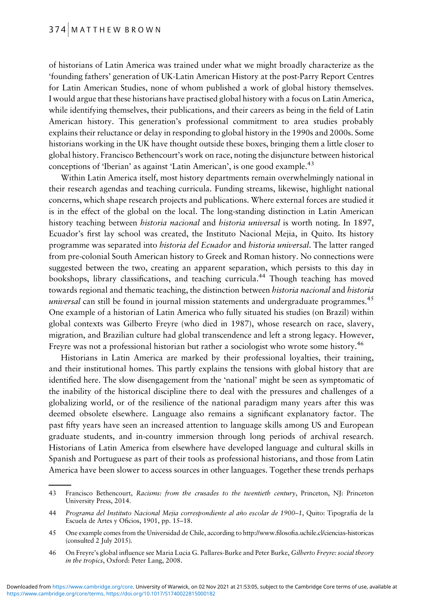of historians of Latin America was trained under what we might broadly characterize as the 'founding fathers' generation of UK-Latin American History at the post-Parry Report Centres for Latin American Studies, none of whom published a work of global history themselves. I would argue that these historians have practised global history with a focus on Latin America, while identifying themselves, their publications, and their careers as being in the field of Latin American history. This generation's professional commitment to area studies probably explains their reluctance or delay in responding to global history in the 1990s and 2000s. Some historians working in the UK have thought outside these boxes, bringing them a little closer to global history. Francisco Bethencourt's work on race, noting the disjuncture between historical conceptions of 'Iberian' as against 'Latin American', is one good example.<sup>43</sup>

Within Latin America itself, most history departments remain overwhelmingly national in their research agendas and teaching curricula. Funding streams, likewise, highlight national concerns, which shape research projects and publications. Where external forces are studied it is in the effect of the global on the local. The long-standing distinction in Latin American history teaching between *historia nacional* and *historia universal* is worth noting. In 1897, Ecuador's first lay school was created, the Instituto Nacional Mejia, in Quito. Its history programme was separated into historia del Ecuador and historia universal. The latter ranged from pre-colonial South American history to Greek and Roman history. No connections were suggested between the two, creating an apparent separation, which persists to this day in bookshops, library classifications, and teaching curricula.44 Though teaching has moved towards regional and thematic teaching, the distinction between historia nacional and historia universal can still be found in journal mission statements and undergraduate programmes.<sup>45</sup> One example of a historian of Latin America who fully situated his studies (on Brazil) within global contexts was Gilberto Freyre (who died in 1987), whose research on race, slavery, migration, and Brazilian culture had global transcendence and left a strong legacy. However, Freyre was not a professional historian but rather a sociologist who wrote some history.<sup>46</sup>

Historians in Latin America are marked by their professional loyalties, their training, and their institutional homes. This partly explains the tensions with global history that are identified here. The slow disengagement from the 'national' might be seen as symptomatic of the inability of the historical discipline there to deal with the pressures and challenges of a globalizing world, or of the resilience of the national paradigm many years after this was deemed obsolete elsewhere. Language also remains a significant explanatory factor. The past fifty years have seen an increased attention to language skills among US and European graduate students, and in-country immersion through long periods of archival research. Historians of Latin America from elsewhere have developed language and cultural skills in Spanish and Portuguese as part of their tools as professional historians, and those from Latin America have been slower to access sources in other languages. Together these trends perhaps

<sup>43</sup> Francisco Bethencourt, Racisms: from the crusades to the twentieth century, Princeton, NJ: Princeton University Press, 2014.

<sup>44</sup> Programa del Instituto Nacional Mejia correspondiente al año escolar de 1900–1, Quito: Tipografía de la Escuela de Artes y Oficios, 1901, pp. 15–18.

<sup>45</sup> One example comes from the Universidad de Chile, according to http://www.filosofi[a.uchile.cl/ciencias-historicas](http://www.filosofia.uchile.cl/ciencias-historicas) (consulted 2 July 2015).

<sup>46</sup> On Freyre's global influence see Maria Lucia G. Pallares-Burke and Peter Burke, Gilberto Freyre: social theory in the tropics, Oxford: Peter Lang, 2008.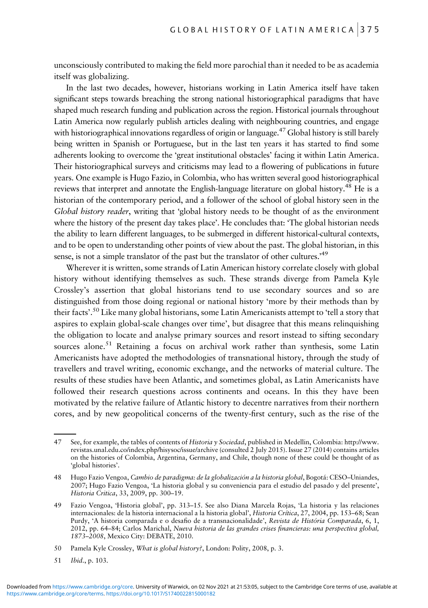unconsciously contributed to making the field more parochial than it needed to be as academia itself was globalizing.

In the last two decades, however, historians working in Latin America itself have taken significant steps towards breaching the strong national historiographical paradigms that have shaped much research funding and publication across the region. Historical journals throughout Latin America now regularly publish articles dealing with neighbouring countries, and engage with historiographical innovations regardless of origin or language.<sup>47</sup> Global history is still barely being written in Spanish or Portuguese, but in the last ten years it has started to find some adherents looking to overcome the 'great institutional obstacles' facing it within Latin America. Their historiographical surveys and criticisms may lead to a flowering of publications in future years. One example is Hugo Fazio, in Colombia, who has written several good historiographical reviews that interpret and annotate the English-language literature on global history.<sup>48</sup> He is a historian of the contemporary period, and a follower of the school of global history seen in the Global history reader, writing that 'global history needs to be thought of as the environment where the history of the present day takes place'. He concludes that: 'The global historian needs the ability to learn different languages, to be submerged in different historical-cultural contexts, and to be open to understanding other points of view about the past. The global historian, in this sense, is not a simple translator of the past but the translator of other cultures.'<sup>49</sup>

Wherever it is written, some strands of Latin American history correlate closely with global history without identifying themselves as such. These strands diverge from Pamela Kyle Crossley's assertion that global historians tend to use secondary sources and so are distinguished from those doing regional or national history 'more by their methods than by their facts'.<sup>50</sup> Like many global historians, some Latin Americanists attempt to 'tell a story that aspires to explain global-scale changes over time', but disagree that this means relinquishing the obligation to locate and analyse primary sources and resort instead to sifting secondary sources alone.<sup>51</sup> Retaining a focus on archival work rather than synthesis, some Latin Americanists have adopted the methodologies of transnational history, through the study of travellers and travel writing, economic exchange, and the networks of material culture. The results of these studies have been Atlantic, and sometimes global, as Latin Americanists have followed their research questions across continents and oceans. In this they have been motivated by the relative failure of Atlantic history to decentre narratives from their northern cores, and by new geopolitical concerns of the twenty-first century, such as the rise of the

51 Ibid., p. 103.

<sup>47</sup> See, for example, the tables of contents of Historia y Sociedad, published in Medellin, Colombia: [http://www.](http://www.revistas.unal.edu.co/index.php/hisysoc/issue/archive) [revistas.unal.edu.co/index.php/hisysoc/issue/archive](http://www.revistas.unal.edu.co/index.php/hisysoc/issue/archive) (consulted 2 July 2015). Issue 27 (2014) contains articles on the histories of Colombia, Argentina, Germany, and Chile, though none of these could be thought of as 'global histories'.

<sup>48</sup> Hugo Fazio Vengoa, Cambio de paradigma: de la globalización a la historia global, Bogotá: CESO-Uniandes, 2007; Hugo Fazio Vengoa, 'La historia global y su conveniencia para el estudio del pasado y del presente', Historia Critica, 33, 2009, pp. 300–19.

<sup>49</sup> Fazio Vengoa, 'Historia global', pp. 313–15. See also Diana Marcela Rojas, 'La historia y las relaciones internacionales: de la historia internacional a la historia global', Historia Crítica, 27, 2004, pp. 153–68; Sean Purdy, 'A historia comparada e o desafio de a transnacionalidade', Revista de História Comparada, 6, 1, 2012, pp. 64–84; Carlos Marichal, Nueva historia de las grandes crises financieras: una perspectiva global, 1873–2008, Mexico City: DEBATE, 2010.

<sup>50</sup> Pamela Kyle Crossley, What is global history?, London: Polity, 2008, p. 3.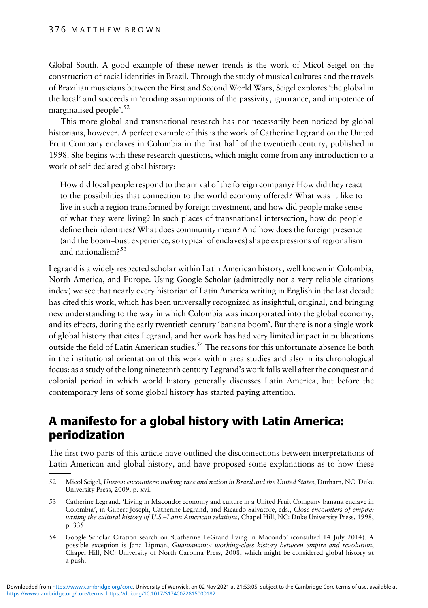Global South. A good example of these newer trends is the work of Micol Seigel on the construction of racial identities in Brazil. Through the study of musical cultures and the travels of Brazilian musicians between the First and Second World Wars, Seigel explores 'the global in the local' and succeeds in 'eroding assumptions of the passivity, ignorance, and impotence of marginalised people'. 52

This more global and transnational research has not necessarily been noticed by global historians, however. A perfect example of this is the work of Catherine Legrand on the United Fruit Company enclaves in Colombia in the first half of the twentieth century, published in 1998. She begins with these research questions, which might come from any introduction to a work of self-declared global history:

How did local people respond to the arrival of the foreign company? How did they react to the possibilities that connection to the world economy offered? What was it like to live in such a region transformed by foreign investment, and how did people make sense of what they were living? In such places of transnational intersection, how do people define their identities? What does community mean? And how does the foreign presence (and the boom–bust experience, so typical of enclaves) shape expressions of regionalism and nationalism?<sup>53</sup>

Legrand is a widely respected scholar within Latin American history, well known in Colombia, North America, and Europe. Using Google Scholar (admittedly not a very reliable citations index) we see that nearly every historian of Latin America writing in English in the last decade has cited this work, which has been universally recognized as insightful, original, and bringing new understanding to the way in which Colombia was incorporated into the global economy, and its effects, during the early twentieth century 'banana boom'. But there is not a single work of global history that cites Legrand, and her work has had very limited impact in publications outside the field of Latin American studies.<sup>54</sup> The reasons for this unfortunate absence lie both in the institutional orientation of this work within area studies and also in its chronological focus: as a study of the long nineteenth century Legrand's work falls well after the conquest and colonial period in which world history generally discusses Latin America, but before the contemporary lens of some global history has started paying attention.

# A manifesto for a global history with Latin America: periodization

The first two parts of this article have outlined the disconnections between interpretations of Latin American and global history, and have proposed some explanations as to how these

<sup>52</sup> Micol Seigel, Uneven encounters: making race and nation in Brazil and the United States, Durham, NC: Duke University Press, 2009, p. xvi.

<sup>53</sup> Catherine Legrand, 'Living in Macondo: economy and culture in a United Fruit Company banana enclave in Colombia', in Gilbert Joseph, Catherine Legrand, and Ricardo Salvatore, eds., Close encounters of empire: writing the cultural history of U.S.–Latin American relations, Chapel Hill, NC: Duke University Press, 1998, p. 335.

<sup>54</sup> Google Scholar Citation search on 'Catherine LeGrand living in Macondo' (consulted 14 July 2014). A possible exception is Jana Lipman, Guantanamo: working-class history between empire and revolution, Chapel Hill, NC: University of North Carolina Press, 2008, which might be considered global history at a push.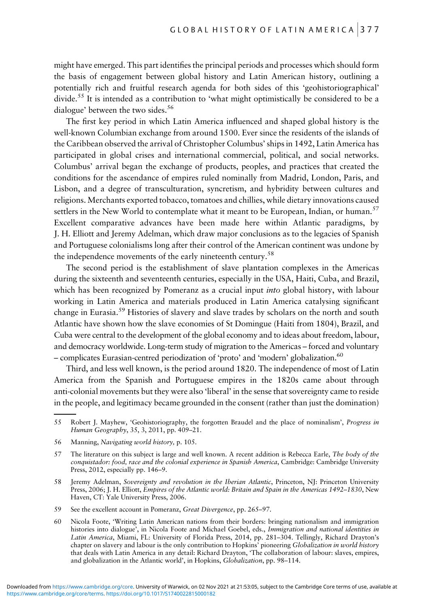might have emerged. This part identifies the principal periods and processes which should form the basis of engagement between global history and Latin American history, outlining a potentially rich and fruitful research agenda for both sides of this 'geohistoriographical' divide.<sup>55</sup> It is intended as a contribution to 'what might optimistically be considered to be a dialogue' between the two sides.<sup>56</sup>

The first key period in which Latin America influenced and shaped global history is the well-known Columbian exchange from around 1500. Ever since the residents of the islands of the Caribbean observed the arrival of Christopher Columbus' ships in 1492, Latin America has participated in global crises and international commercial, political, and social networks. Columbus' arrival began the exchange of products, peoples, and practices that created the conditions for the ascendance of empires ruled nominally from Madrid, London, Paris, and Lisbon, and a degree of transculturation, syncretism, and hybridity between cultures and religions. Merchants exported tobacco, tomatoes and chillies, while dietary innovations caused settlers in the New World to contemplate what it meant to be European, Indian, or human.<sup>57</sup> Excellent comparative advances have been made here within Atlantic paradigms, by J. H. Elliott and Jeremy Adelman, which draw major conclusions as to the legacies of Spanish and Portuguese colonialisms long after their control of the American continent was undone by the independence movements of the early nineteenth century.<sup>58</sup>

The second period is the establishment of slave plantation complexes in the Americas during the sixteenth and seventeenth centuries, especially in the USA, Haiti, Cuba, and Brazil, which has been recognized by Pomeranz as a crucial input *into* global history, with labour working in Latin America and materials produced in Latin America catalysing significant change in Eurasia.<sup>59</sup> Histories of slavery and slave trades by scholars on the north and south Atlantic have shown how the slave economies of St Domingue (Haiti from 1804), Brazil, and Cuba were central to the development of the global economy and to ideas about freedom, labour, and democracy worldwide. Long-term study of migration to the Americas – forced and voluntary – complicates Eurasian-centred periodization of 'proto' and 'modern' globalization.<sup>60</sup>

Third, and less well known, is the period around 1820. The independence of most of Latin America from the Spanish and Portuguese empires in the 1820s came about through anti-colonial movements but they were also 'liberal' in the sense that sovereignty came to reside in the people, and legitimacy became grounded in the consent (rather than just the domination)

56 Manning, Navigating world history, p. 105.

- 58 Jeremy Adelman, Sovereignty and revolution in the Iberian Atlantic, Princeton, NJ: Princeton University Press, 2006; J. H. Elliott, Empires of the Atlantic world: Britain and Spain in the Americas 1492–1830, New Haven, CT: Yale University Press, 2006.
- 59 See the excellent account in Pomeranz, Great Divergence, pp. 265–97.
- 60 Nicola Foote, 'Writing Latin American nations from their borders: bringing nationalism and immigration histories into dialogue', in Nicola Foote and Michael Goebel, eds., Immigration and national identities in Latin America, Miami, FL: University of Florida Press, 2014, pp. 281–304. Tellingly, Richard Drayton's chapter on slavery and labour is the only contribution to Hopkins' pioneering Globalization in world history that deals with Latin America in any detail: Richard Drayton, 'The collaboration of labour: slaves, empires, and globalization in the Atlantic world', in Hopkins, Globalization, pp. 98–114.

<sup>55</sup> Robert J. Mayhew, 'Geohistoriography, the forgotten Braudel and the place of nominalism', Progress in Human Geography, 35, 3, 2011, pp. 409–21.

<sup>57</sup> The literature on this subject is large and well known. A recent addition is Rebecca Earle, The body of the conquistador: food, race and the colonial experience in Spanish America, Cambridge: Cambridge University Press, 2012, especially pp. 146–9.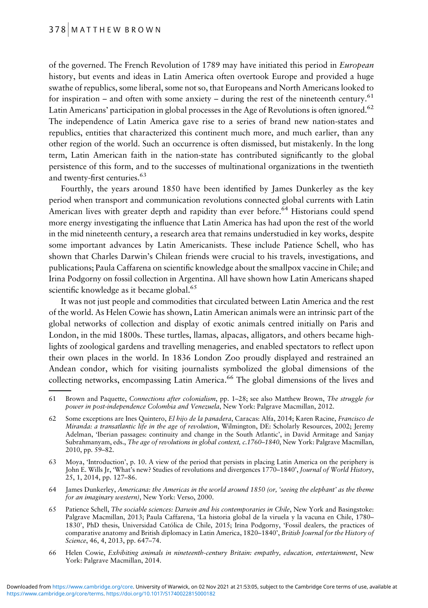of the governed. The French Revolution of 1789 may have initiated this period in European history, but events and ideas in Latin America often overtook Europe and provided a huge swathe of republics, some liberal, some not so, that Europeans and North Americans looked to for inspiration – and often with some anxiety – during the rest of the nineteenth century.<sup>61</sup> Latin Americans' participation in global processes in the Age of Revolutions is often ignored.<sup>62</sup> The independence of Latin America gave rise to a series of brand new nation-states and republics, entities that characterized this continent much more, and much earlier, than any other region of the world. Such an occurrence is often dismissed, but mistakenly. In the long term, Latin American faith in the nation-state has contributed significantly to the global persistence of this form, and to the successes of multinational organizations in the twentieth and twenty-first centuries.<sup>63</sup>

Fourthly, the years around 1850 have been identified by James Dunkerley as the key period when transport and communication revolutions connected global currents with Latin American lives with greater depth and rapidity than ever before.<sup>64</sup> Historians could spend more energy investigating the influence that Latin America has had upon the rest of the world in the mid nineteenth century, a research area that remains understudied in key works, despite some important advances by Latin Americanists. These include Patience Schell, who has shown that Charles Darwin's Chilean friends were crucial to his travels, investigations, and publications; Paula Caffarena on scientific knowledge about the smallpox vaccine in Chile; and Irina Podgorny on fossil collection in Argentina. All have shown how Latin Americans shaped scientific knowledge as it became global.<sup>65</sup>

It was not just people and commodities that circulated between Latin America and the rest of the world. As Helen Cowie has shown, Latin American animals were an intrinsic part of the global networks of collection and display of exotic animals centred initially on Paris and London, in the mid 1800s. These turtles, llamas, alpacas, alligators, and others became highlights of zoological gardens and travelling menageries, and enabled spectators to reflect upon their own places in the world. In 1836 London Zoo proudly displayed and restrained an Andean condor, which for visiting journalists symbolized the global dimensions of the collecting networks, encompassing Latin America.<sup>66</sup> The global dimensions of the lives and

- 64 James Dunkerley, Americana: the Americas in the world around 1850 (or, 'seeing the elephant' as the theme for an imaginary western), New York: Verso, 2000.
- 65 Patience Schell, The sociable sciences: Darwin and his contemporaries in Chile, New York and Basingstoke: Palgrave Macmillan, 2013; Paula Caffarena, 'La historia global de la viruela y la vacuna en Chile, 1780– 1830', PhD thesis, Universidad Católica de Chile, 2015; Irina Podgorny, 'Fossil dealers, the practices of comparative anatomy and British diplomacy in Latin America, 1820–1840', British Journal for the History of Science, 46, 4, 2013, pp. 647–74.
- 66 Helen Cowie, Exhibiting animals in nineteenth-century Britain: empathy, education, entertainment, New York: Palgrave Macmillan, 2014.

<sup>61</sup> Brown and Paquette, Connections after colonialism, pp. 1–28; see also Matthew Brown, The struggle for power in post-independence Colombia and Venezuela, New York: Palgrave Macmillan, 2012.

<sup>62</sup> Some exceptions are Ines Quintero, El hijo de la panadera, Caracas: Alfa, 2014; Karen Racine, Francisco de Miranda: a transatlantic life in the age of revolution, Wilmington, DE: Scholarly Resources, 2002; Jeremy Adelman, 'Iberian passages: continuity and change in the South Atlantic', in David Armitage and Sanjay Subrahmanyam, eds., The age of revolutions in global context, c.1760–1840, New York: Palgrave Macmillan, 2010, pp. 59–82.

<sup>63</sup> Moya, 'Introduction', p. 10. A view of the period that persists in placing Latin America on the periphery is John E. Wills Jr, 'What's new? Studies of revolutions and divergences 1770–1840', Journal of World History, 25, 1, 2014, pp. 127–86.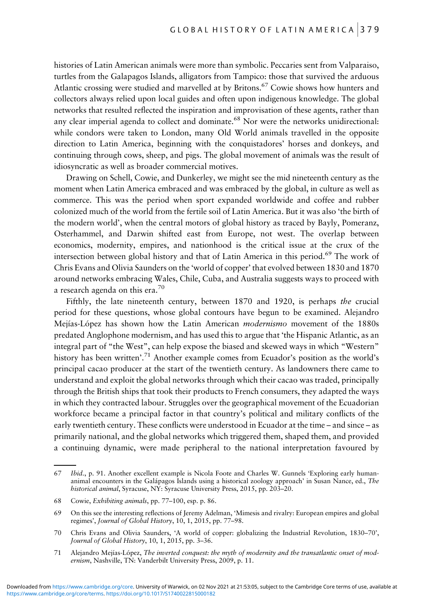histories of Latin American animals were more than symbolic. Peccaries sent from Valparaiso, turtles from the Galapagos Islands, alligators from Tampico: those that survived the arduous Atlantic crossing were studied and marvelled at by Britons.<sup>67</sup> Cowie shows how hunters and collectors always relied upon local guides and often upon indigenous knowledge. The global networks that resulted reflected the inspiration and improvisation of these agents, rather than any clear imperial agenda to collect and dominate.<sup>68</sup> Nor were the networks unidirectional: while condors were taken to London, many Old World animals travelled in the opposite direction to Latin America, beginning with the conquistadores' horses and donkeys, and continuing through cows, sheep, and pigs. The global movement of animals was the result of idiosyncratic as well as broader commercial motives.

Drawing on Schell, Cowie, and Dunkerley, we might see the mid nineteenth century as the moment when Latin America embraced and was embraced by the global, in culture as well as commerce. This was the period when sport expanded worldwide and coffee and rubber colonized much of the world from the fertile soil of Latin America. But it was also 'the birth of the modern world', when the central motors of global history as traced by Bayly, Pomeranz, Osterhammel, and Darwin shifted east from Europe, not west. The overlap between economics, modernity, empires, and nationhood is the critical issue at the crux of the intersection between global history and that of Latin America in this period.<sup>69</sup> The work of Chris Evans and Olivia Saunders on the 'world of copper' that evolved between 1830 and 1870 around networks embracing Wales, Chile, Cuba, and Australia suggests ways to proceed with a research agenda on this era.<sup>70</sup>

Fifthly, the late nineteenth century, between 1870 and 1920, is perhaps the crucial period for these questions, whose global contours have begun to be examined. Alejandro Mejías-López has shown how the Latin American modernismo movement of the 1880s predated Anglophone modernism, and has used this to argue that 'the Hispanic Atlantic, as an integral part of "the West", can help expose the biased and skewed ways in which "Western" history has been written'.<sup>71</sup> Another example comes from Ecuador's position as the world's principal cacao producer at the start of the twentieth century. As landowners there came to understand and exploit the global networks through which their cacao was traded, principally through the British ships that took their products to French consumers, they adapted the ways in which they contracted labour. Struggles over the geographical movement of the Ecuadorian workforce became a principal factor in that country's political and military conflicts of the early twentieth century. These conflicts were understood in Ecuador at the time – and since – as primarily national, and the global networks which triggered them, shaped them, and provided a continuing dynamic, were made peripheral to the national interpretation favoured by

<sup>67</sup> Ibid., p. 91. Another excellent example is Nicola Foote and Charles W. Gunnels 'Exploring early humananimal encounters in the Galápagos Islands using a historical zoology approach' in Susan Nance, ed., The historical animal, Syracuse, NY: Syracuse University Press, 2015, pp.  $203-20$ .

<sup>68</sup> Cowie, Exhibiting animals, pp. 77–100, esp. p. 86.

<sup>69</sup> On this see the interesting reflections of Jeremy Adelman, 'Mimesis and rivalry: European empires and global regimes', Journal of Global History, 10, 1, 2015, pp. 77–98.

<sup>70</sup> Chris Evans and Olivia Saunders, 'A world of copper: globalizing the Industrial Revolution, 1830–70', Journal of Global History, 10, 1, 2015, pp. 3–36.

<sup>71</sup> Alejandro Mejías-López, The inverted conquest: the myth of modernity and the transatlantic onset of modernism, Nashville, TN: Vanderbilt University Press, 2009, p. 11.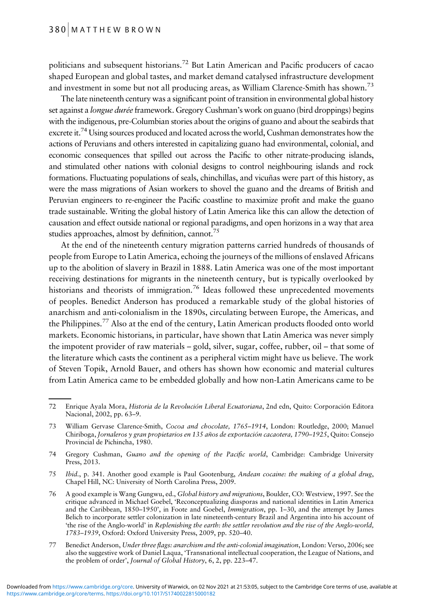politicians and subsequent historians.<sup>72</sup> But Latin American and Pacific producers of cacao shaped European and global tastes, and market demand catalysed infrastructure development and investment in some but not all producing areas, as William Clarence-Smith has shown.<sup>73</sup>

The late nineteenth century was a significant point of transition in environmental global history set against a longue durée framework. Gregory Cushman's work on guano (bird droppings) begins with the indigenous, pre-Columbian stories about the origins of guano and about the seabirds that excrete it.<sup>74</sup> Using sources produced and located across the world, Cushman demonstrates how the actions of Peruvians and others interested in capitalizing guano had environmental, colonial, and economic consequences that spilled out across the Pacific to other nitrate-producing islands, and stimulated other nations with colonial designs to control neighbouring islands and rock formations. Fluctuating populations of seals, chinchillas, and vicuñas were part of this history, as were the mass migrations of Asian workers to shovel the guano and the dreams of British and Peruvian engineers to re-engineer the Pacific coastline to maximize profit and make the guano trade sustainable. Writing the global history of Latin America like this can allow the detection of causation and effect outside national or regional paradigms, and open horizons in a way that area studies approaches, almost by definition, cannot.<sup>75</sup>

At the end of the nineteenth century migration patterns carried hundreds of thousands of people from Europe to Latin America, echoing the journeys of the millions of enslaved Africans up to the abolition of slavery in Brazil in 1888. Latin America was one of the most important receiving destinations for migrants in the nineteenth century, but is typically overlooked by historians and theorists of immigration.<sup>76</sup> Ideas followed these unprecedented movements of peoples. Benedict Anderson has produced a remarkable study of the global histories of anarchism and anti-colonialism in the 1890s, circulating between Europe, the Americas, and the Philippines.<sup>77</sup> Also at the end of the century, Latin American products flooded onto world markets. Economic historians, in particular, have shown that Latin America was never simply the impotent provider of raw materials – gold, silver, sugar, coffee, rubber, oil – that some of the literature which casts the continent as a peripheral victim might have us believe. The work of Steven Topik, Arnold Bauer, and others has shown how economic and material cultures from Latin America came to be embedded globally and how non-Latin Americans came to be

- 75 Ibid., p. 341. Another good example is Paul Gootenburg, Andean cocaine: the making of a global drug, Chapel Hill, NC: University of North Carolina Press, 2009.
- 76 A good example is Wang Gungwu, ed., Global history and migrations, Boulder, CO: Westview, 1997. See the critique advanced in Michael Goebel, 'Reconceptualizing diasporas and national identities in Latin America and the Caribbean, 1850–1950', in Foote and Goebel, *Immigration*, pp. 1–30, and the attempt by James Belich to incorporate settler colonization in late nineteenth-century Brazil and Argentina into his account of 'the rise of the Anglo-world' in Replenishing the earth: the settler revolution and the rise of the Anglo-world, 1783–1939, Oxford: Oxford University Press, 2009, pp. 520–40.
- 77 Benedict Anderson, Under three flags: anarchism and the anti-colonial imagination, London: Verso, 2006; see also the suggestive work of Daniel Laqua, 'Transnational intellectual cooperation, the League of Nations, and the problem of order', Journal of Global History, 6, 2, pp. 223-47.

<sup>72</sup> Enrique Ayala Mora, Historia de la Revolución Liberal Ecuatoriana, 2nd edn, Quito: Corporación Editora Nacional, 2002, pp. 63–9.

<sup>73</sup> William Gervase Clarence-Smith, Cocoa and chocolate, 1765–1914, London: Routledge, 2000; Manuel Chiriboga, Jornaleros y gran propietarios en 135 años de exportación cacaotera, 1790–1925, Quito: Consejo Provincial de Pichincha, 1980.

<sup>74</sup> Gregory Cushman, Guano and the opening of the Pacific world, Cambridge: Cambridge University Press, 2013.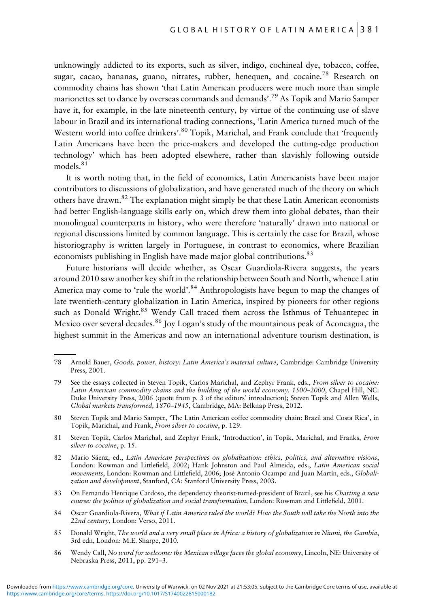unknowingly addicted to its exports, such as silver, indigo, cochineal dye, tobacco, coffee, sugar, cacao, bananas, guano, nitrates, rubber, henequen, and cocaine.<sup>78</sup> Research on commodity chains has shown 'that Latin American producers were much more than simple marionettes set to dance by overseas commands and demands'.<sup>79</sup> As Topik and Mario Samper have it, for example, in the late nineteenth century, by virtue of the continuing use of slave labour in Brazil and its international trading connections, 'Latin America turned much of the Western world into coffee drinkers'.<sup>80</sup> Topik, Marichal, and Frank conclude that 'frequently Latin Americans have been the price-makers and developed the cutting-edge production technology' which has been adopted elsewhere, rather than slavishly following outside models.<sup>81</sup>

It is worth noting that, in the field of economics, Latin Americanists have been major contributors to discussions of globalization, and have generated much of the theory on which others have drawn.<sup>82</sup> The explanation might simply be that these Latin American economists had better English-language skills early on, which drew them into global debates, than their monolingual counterparts in history, who were therefore 'naturally' drawn into national or regional discussions limited by common language. This is certainly the case for Brazil, whose historiography is written largely in Portuguese, in contrast to economics, where Brazilian economists publishing in English have made major global contributions.<sup>83</sup>

Future historians will decide whether, as Oscar Guardiola-Rivera suggests, the years around 2010 saw another key shift in the relationship between South and North, whence Latin America may come to 'rule the world'.<sup>84</sup> Anthropologists have begun to map the changes of late twentieth-century globalization in Latin America, inspired by pioneers for other regions such as Donald Wright.<sup>85</sup> Wendy Call traced them across the Isthmus of Tehuantepec in Mexico over several decades.<sup>86</sup> Joy Logan's study of the mountainous peak of Aconcagua, the highest summit in the Americas and now an international adventure tourism destination, is

- 83 On Fernando Henrique Cardoso, the dependency theorist-turned-president of Brazil, see his Charting a new course: the politics of globalization and social transformation, London: Rowman and Littlefield, 2001.
- 84 Oscar Guardiola-Rivera, What if Latin America ruled the world? How the South will take the North into the 22nd century, London: Verso, 2011.
- 85 Donald Wright, The world and a very small place in Africa: a history of globalization in Niumi, the Gambia, 3rd edn, London: M.E. Sharpe, 2010.
- 86 Wendy Call, No word for welcome: the Mexican village faces the global economy, Lincoln, NE: University of Nebraska Press, 2011, pp. 291–3.

<sup>78</sup> Arnold Bauer, Goods, power, history: Latin America's material culture, Cambridge: Cambridge University Press, 2001.

<sup>79</sup> See the essays collected in Steven Topik, Carlos Marichal, and Zephyr Frank, eds., From silver to cocaine: Latin American commodity chains and the building of the world economy, 1500–2000, Chapel Hill, NC: Duke University Press, 2006 (quote from p. 3 of the editors' introduction); Steven Topik and Allen Wells, Global markets transformed, 1870–1945, Cambridge, MA: Belknap Press, 2012.

<sup>80</sup> Steven Topik and Mario Samper, 'The Latin American coffee commodity chain: Brazil and Costa Rica', in Topik, Marichal, and Frank, From silver to cocaine, p. 129.

<sup>81</sup> Steven Topik, Carlos Marichal, and Zephyr Frank, 'Introduction', in Topik, Marichal, and Franks, From silver to cocaine, p. 15.

<sup>82</sup> Mario Sáenz, ed., Latin American perspectives on globalization: ethics, politics, and alternative visions, London: Rowman and Littlefield, 2002; Hank Johnston and Paul Almeida, eds., Latin American social movements, London: Rowman and Littlefield, 2006; José Antonio Ocampo and Juan Martín, eds., Globalization and development, Stanford, CA: Stanford University Press, 2003.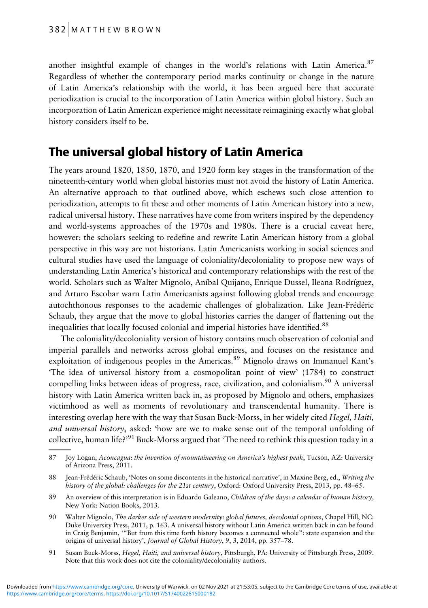another insightful example of changes in the world's relations with Latin America.<sup>87</sup> Regardless of whether the contemporary period marks continuity or change in the nature of Latin America's relationship with the world, it has been argued here that accurate periodization is crucial to the incorporation of Latin America within global history. Such an incorporation of Latin American experience might necessitate reimagining exactly what global history considers itself to be.

### The universal global history of Latin America

The years around 1820, 1850, 1870, and 1920 form key stages in the transformation of the nineteenth-century world when global histories must not avoid the history of Latin America. An alternative approach to that outlined above, which eschews such close attention to periodization, attempts to fit these and other moments of Latin American history into a new, radical universal history. These narratives have come from writers inspired by the dependency and world-systems approaches of the 1970s and 1980s. There is a crucial caveat here, however: the scholars seeking to redefine and rewrite Latin American history from a global perspective in this way are not historians. Latin Americanists working in social sciences and cultural studies have used the language of coloniality/decoloniality to propose new ways of understanding Latin America's historical and contemporary relationships with the rest of the world. Scholars such as Walter Mignolo, Aníbal Quijano, Enrique Dussel, Ileana Rodríguez, and Arturo Escobar warn Latin Americanists against following global trends and encourage autochthonous responses to the academic challenges of globalization. Like Jean-Frédéric Schaub, they argue that the move to global histories carries the danger of flattening out the inequalities that locally focused colonial and imperial histories have identified.<sup>88</sup>

The coloniality/decoloniality version of history contains much observation of colonial and imperial parallels and networks across global empires, and focuses on the resistance and exploitation of indigenous peoples in the Americas.<sup>89</sup> Mignolo draws on Immanuel Kant's 'The idea of universal history from a cosmopolitan point of view' (1784) to construct compelling links between ideas of progress, race, civilization, and colonialism.<sup>90</sup> A universal history with Latin America written back in, as proposed by Mignolo and others, emphasizes victimhood as well as moments of revolutionary and transcendental humanity. There is interesting overlap here with the way that Susan Buck-Morss, in her widely cited Hegel, Haiti, and universal history, asked: 'how are we to make sense out of the temporal unfolding of collective, human life?'<sup>91</sup> Buck-Morss argued that 'The need to rethink this question today in a

91 Susan Buck-Morss, Hegel, Haiti, and universal history, Pittsburgh, PA: University of Pittsburgh Press, 2009. Note that this work does not cite the coloniality/decoloniality authors.

<sup>87</sup> Joy Logan, Aconcagua: the invention of mountaineering on America's highest peak, Tucson, AZ: University of Arizona Press, 2011.

<sup>88</sup> Jean-Frédéric Schaub, 'Notes on some discontents in the historical narrative', in Maxine Berg, ed., Writing the history of the global: challenges for the 21st century, Oxford: Oxford University Press, 2013, pp. 48–65.

<sup>89</sup> An overview of this interpretation is in Eduardo Galeano, Children of the days: a calendar of human history, New York: Nation Books, 2013.

<sup>90</sup> Walter Mignolo, The darker side of western modernity: global futures, decolonial options, Chapel Hill, NC: Duke University Press, 2011, p. 163. A universal history without Latin America written back in can be found in Craig Benjamin, '"But from this time forth history becomes a connected whole": state expansion and the origins of universal history', Journal of Global History, 9, 3, 2014, pp. 357–78.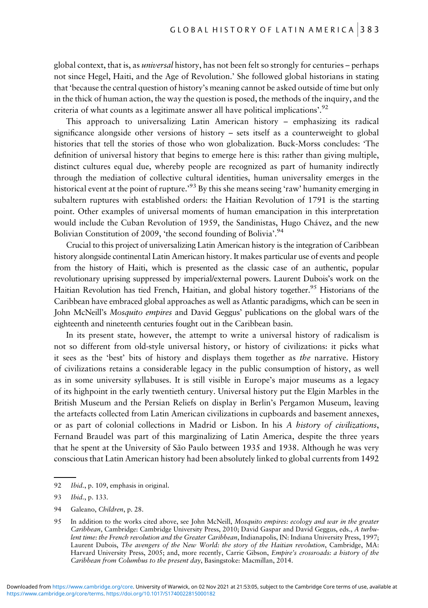global context, that is, as *universal* history, has not been felt so strongly for centuries – perhaps not since Hegel, Haiti, and the Age of Revolution.' She followed global historians in stating that 'because the central question of history's meaning cannot be asked outside of time but only in the thick of human action, the way the question is posed, the methods of the inquiry, and the criteria of what counts as a legitimate answer all have political implications'.<sup>92</sup>

This approach to universalizing Latin American history – emphasizing its radical significance alongside other versions of history – sets itself as a counterweight to global histories that tell the stories of those who won globalization. Buck-Morss concludes: 'The definition of universal history that begins to emerge here is this: rather than giving multiple, distinct cultures equal due, whereby people are recognized as part of humanity indirectly through the mediation of collective cultural identities, human universality emerges in the historical event at the point of rupture.'<sup>93</sup> By this she means seeing 'raw' humanity emerging in subaltern ruptures with established orders: the Haitian Revolution of 1791 is the starting point. Other examples of universal moments of human emancipation in this interpretation would include the Cuban Revolution of 1959, the Sandinistas, Hugo Chávez, and the new Bolivian Constitution of 2009, 'the second founding of Bolivia'.<sup>94</sup>

Crucial to this project of universalizing Latin American history is the integration of Caribbean history alongside continental Latin American history. It makes particular use of events and people from the history of Haiti, which is presented as the classic case of an authentic, popular revolutionary uprising suppressed by imperial/external powers. Laurent Dubois's work on the Haitian Revolution has tied French, Haitian, and global history together.<sup>95</sup> Historians of the Caribbean have embraced global approaches as well as Atlantic paradigms, which can be seen in John McNeill's Mosquito empires and David Geggus' publications on the global wars of the eighteenth and nineteenth centuries fought out in the Caribbean basin.

In its present state, however, the attempt to write a universal history of radicalism is not so different from old-style universal history, or history of civilizations: it picks what it sees as the 'best' bits of history and displays them together as the narrative. History of civilizations retains a considerable legacy in the public consumption of history, as well as in some university syllabuses. It is still visible in Europe's major museums as a legacy of its highpoint in the early twentieth century. Universal history put the Elgin Marbles in the British Museum and the Persian Reliefs on display in Berlin's Pergamon Museum, leaving the artefacts collected from Latin American civilizations in cupboards and basement annexes, or as part of colonial collections in Madrid or Lisbon. In his A history of civilizations, Fernand Braudel was part of this marginalizing of Latin America, despite the three years that he spent at the University of São Paulo between 1935 and 1938. Although he was very conscious that Latin American history had been absolutely linked to global currents from 1492

<sup>92</sup> Ibid., p. 109, emphasis in original.

<sup>93</sup> Ibid., p. 133.

<sup>94</sup> Galeano, Children, p. 28.

<sup>95</sup> In addition to the works cited above, see John McNeill, Mosquito empires: ecology and war in the greater Caribbean, Cambridge: Cambridge University Press, 2010; David Gaspar and David Geggus, eds., A turbulent time: the French revolution and the Greater Caribbean, Indianapolis, IN: Indiana University Press, 1997; Laurent Dubois, The avengers of the New World: the story of the Haitian revolution, Cambridge, MA: Harvard University Press, 2005; and, more recently, Carrie Gibson, Empire's crossroads: a history of the Caribbean from Columbus to the present day, Basingstoke: Macmillan, 2014.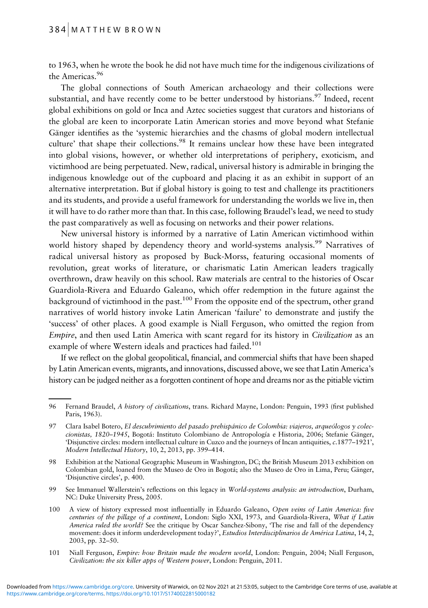to 1963, when he wrote the book he did not have much time for the indigenous civilizations of the Americas.<sup>96</sup>

The global connections of South American archaeology and their collections were substantial, and have recently come to be better understood by historians.<sup>97</sup> Indeed, recent global exhibitions on gold or Inca and Aztec societies suggest that curators and historians of the global are keen to incorporate Latin American stories and move beyond what Stefanie Gänger identifies as the 'systemic hierarchies and the chasms of global modern intellectual culture' that shape their collections.<sup>98</sup> It remains unclear how these have been integrated into global visions, however, or whether old interpretations of periphery, exoticism, and victimhood are being perpetuated. New, radical, universal history is admirable in bringing the indigenous knowledge out of the cupboard and placing it as an exhibit in support of an alternative interpretation. But if global history is going to test and challenge its practitioners and its students, and provide a useful framework for understanding the worlds we live in, then it will have to do rather more than that. In this case, following Braudel's lead, we need to study the past comparatively as well as focusing on networks and their power relations.

New universal history is informed by a narrative of Latin American victimhood within world history shaped by dependency theory and world-systems analysis.<sup>99</sup> Narratives of radical universal history as proposed by Buck-Morss, featuring occasional moments of revolution, great works of literature, or charismatic Latin American leaders tragically overthrown, draw heavily on this school. Raw materials are central to the histories of Oscar Guardiola-Rivera and Eduardo Galeano, which offer redemption in the future against the background of victimhood in the past.<sup>100</sup> From the opposite end of the spectrum, other grand narratives of world history invoke Latin American 'failure' to demonstrate and justify the 'success' of other places. A good example is Niall Ferguson, who omitted the region from Empire, and then used Latin America with scant regard for its history in *Civilization* as an example of where Western ideals and practices had failed.<sup>101</sup>

If we reflect on the global geopolitical, financial, and commercial shifts that have been shaped by Latin American events, migrants, and innovations, discussed above, we see that Latin America's history can be judged neither as a forgotten continent of hope and dreams nor as the pitiable victim

- 99 See Immanuel Wallerstein's reflections on this legacy in World-systems analysis: an introduction, Durham, NC: Duke University Press, 2005.
- 100 A view of history expressed most influentially in Eduardo Galeano, Open veins of Latin America: five centuries of the pillage of a continent, London: Siglo XXI, 1973, and Guardiola-Rivera, What if Latin America ruled the world? See the critique by Oscar Sanchez-Sibony, 'The rise and fall of the dependency movement: does it inform underdevelopment today?', Estudios Interdisciplinarios de América Latina, 14, 2, 2003, pp. 32–50.
- 101 Niall Ferguson, Empire: how Britain made the modern world, London: Penguin, 2004; Niall Ferguson, Civilization: the six killer apps of Western power, London: Penguin, 2011.

<sup>96</sup> Fernand Braudel, A history of civilizations, trans. Richard Mayne, London: Penguin, 1993 (first published Paris, 1963).

<sup>97</sup> Clara Isabel Botero, El descubrimiento del pasado prehispánico de Colombia: viajeros, arqueólogos y coleccionistas, 1820–1945, Bogotá: Instituto Colombiano de Antropología e Historia, 2006; Stefanie Gänger, 'Disjunctive circles: modern intellectual culture in Cuzco and the journeys of Incan antiquities, c.1877–1921', Modern Intellectual History, 10, 2, 2013, pp. 399–414.

<sup>98</sup> Exhibition at the National Geographic Museum in Washington, DC; the British Museum 2013 exhibition on Colombian gold, loaned from the Museo de Oro in Bogotá; also the Museo de Oro in Lima, Peru; Gänger, 'Disjunctive circles', p. 400.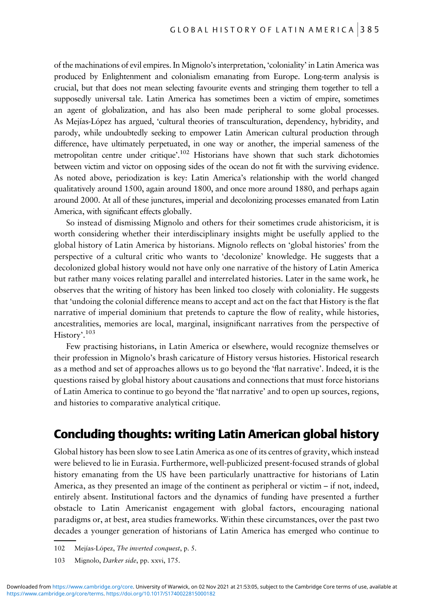of the machinations of evil empires. In Mignolo's interpretation, 'coloniality' in Latin America was produced by Enlightenment and colonialism emanating from Europe. Long-term analysis is crucial, but that does not mean selecting favourite events and stringing them together to tell a supposedly universal tale. Latin America has sometimes been a victim of empire, sometimes an agent of globalization, and has also been made peripheral to some global processes. As Mejías-López has argued, 'cultural theories of transculturation, dependency, hybridity, and parody, while undoubtedly seeking to empower Latin American cultural production through difference, have ultimately perpetuated, in one way or another, the imperial sameness of the metropolitan centre under critique'.<sup>102</sup> Historians have shown that such stark dichotomies between victim and victor on opposing sides of the ocean do not fit with the surviving evidence. As noted above, periodization is key: Latin America's relationship with the world changed qualitatively around 1500, again around 1800, and once more around 1880, and perhaps again around 2000. At all of these junctures, imperial and decolonizing processes emanated from Latin America, with significant effects globally.

So instead of dismissing Mignolo and others for their sometimes crude ahistoricism, it is worth considering whether their interdisciplinary insights might be usefully applied to the global history of Latin America by historians. Mignolo reflects on 'global histories' from the perspective of a cultural critic who wants to 'decolonize' knowledge. He suggests that a decolonized global history would not have only one narrative of the history of Latin America but rather many voices relating parallel and interrelated histories. Later in the same work, he observes that the writing of history has been linked too closely with coloniality. He suggests that 'undoing the colonial difference means to accept and act on the fact that History is the flat narrative of imperial dominium that pretends to capture the flow of reality, while histories, ancestralities, memories are local, marginal, insignificant narratives from the perspective of History'. 103

Few practising historians, in Latin America or elsewhere, would recognize themselves or their profession in Mignolo's brash caricature of History versus histories. Historical research as a method and set of approaches allows us to go beyond the 'flat narrative'. Indeed, it is the questions raised by global history about causations and connections that must force historians of Latin America to continue to go beyond the 'flat narrative' and to open up sources, regions, and histories to comparative analytical critique.

## Concluding thoughts: writing Latin American global history

Global history has been slow to see Latin America as one of its centres of gravity, which instead were believed to lie in Eurasia. Furthermore, well-publicized present-focused strands of global history emanating from the US have been particularly unattractive for historians of Latin America, as they presented an image of the continent as peripheral or victim – if not, indeed, entirely absent. Institutional factors and the dynamics of funding have presented a further obstacle to Latin Americanist engagement with global factors, encouraging national paradigms or, at best, area studies frameworks. Within these circumstances, over the past two decades a younger generation of historians of Latin America has emerged who continue to

<sup>102</sup> Mejías-López, The inverted conquest, p. 5.

<sup>103</sup> Mignolo, Darker side, pp. xxvi, 175.